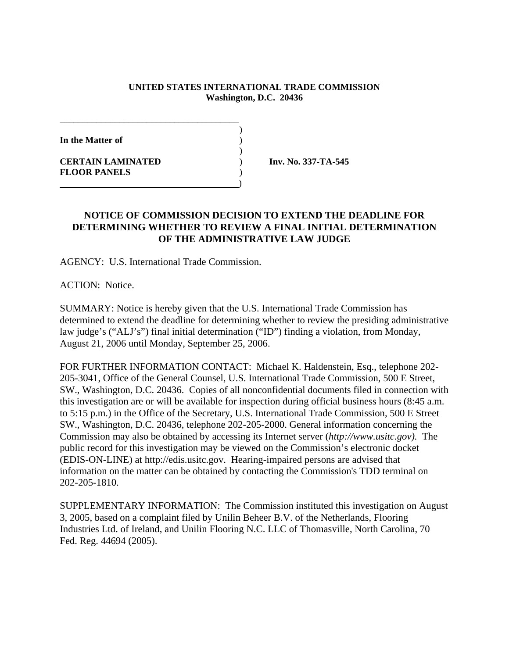## **UNITED STATES INTERNATIONAL TRADE COMMISSION Washington, D.C. 20436**

)

)

**In the Matter of** )

**CERTAIN LAMINATED** ) **Inv. No. 337-TA-545 FLOOR PANELS** ) )

## **NOTICE OF COMMISSION DECISION TO EXTEND THE DEADLINE FOR DETERMINING WHETHER TO REVIEW A FINAL INITIAL DETERMINATION OF THE ADMINISTRATIVE LAW JUDGE**

AGENCY: U.S. International Trade Commission.

\_\_\_\_\_\_\_\_\_\_\_\_\_\_\_\_\_\_\_\_\_\_\_\_\_\_\_\_\_\_\_\_\_\_\_\_\_\_\_

ACTION: Notice.

SUMMARY: Notice is hereby given that the U.S. International Trade Commission has determined to extend the deadline for determining whether to review the presiding administrative law judge's ("ALJ's") final initial determination ("ID") finding a violation, from Monday, August 21, 2006 until Monday, September 25, 2006.

FOR FURTHER INFORMATION CONTACT: Michael K. Haldenstein, Esq., telephone 202- 205-3041, Office of the General Counsel, U.S. International Trade Commission, 500 E Street, SW., Washington, D.C. 20436. Copies of all nonconfidential documents filed in connection with this investigation are or will be available for inspection during official business hours (8:45 a.m. to 5:15 p.m.) in the Office of the Secretary, U.S. International Trade Commission, 500 E Street SW., Washington, D.C. 20436, telephone 202-205-2000. General information concerning the Commission may also be obtained by accessing its Internet server (*http://www.usitc.gov).* The public record for this investigation may be viewed on the Commission's electronic docket (EDIS-ON-LINE) at http://edis.usitc.gov. Hearing-impaired persons are advised that information on the matter can be obtained by contacting the Commission's TDD terminal on 202-205-1810.

SUPPLEMENTARY INFORMATION: The Commission instituted this investigation on August 3, 2005, based on a complaint filed by Unilin Beheer B.V. of the Netherlands, Flooring Industries Ltd. of Ireland, and Unilin Flooring N.C. LLC of Thomasville, North Carolina, 70 Fed. Reg. 44694 (2005).